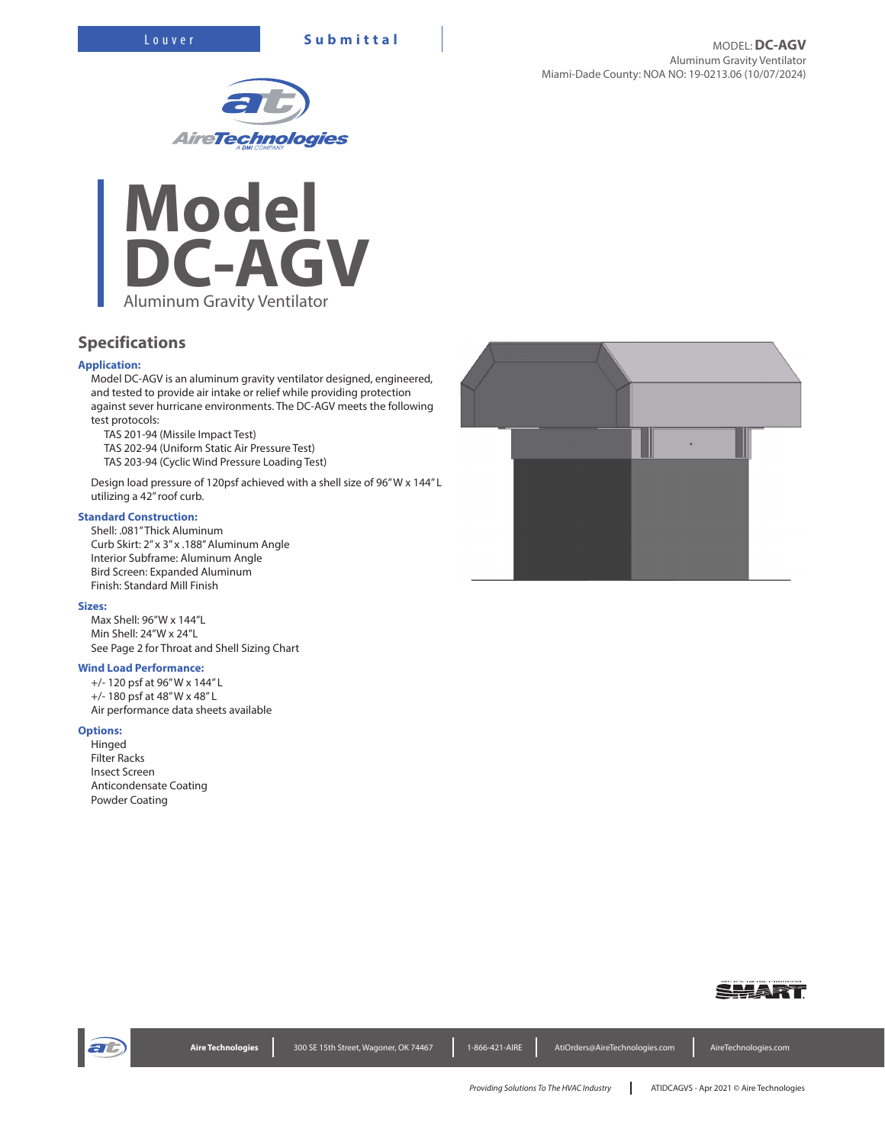



# **Specifications**

## **Application:**

Model DC-AGV is an aluminum gravity ventilator designed, engineered, and tested to provide air intake or relief while providing protection against sever hurricane environments. The DC-AGV meets the following test protocols:

TAS 201-94 (Missile Impact Test)

TAS 202-94 (Uniform Static Air Pressure Test)

TAS 203-94 (Cyclic Wind Pressure Loading Test)

Design load pressure of 120psf achieved with a shell size of 96" W x 144" L utilizing a 42" roof curb.

## **Standard Construction:**

Shell: .081" Thick Aluminum Curb Skirt: 2" x 3" x .188" Aluminum Angle Interior Subframe: Aluminum Angle Bird Screen: Expanded Aluminum Finish: Standard Mill Finish

#### **Sizes:**

Max Shell: 96"W x 144"L Min Shell: 24"W x 24"L See Page 2 for Throat and Shell Sizing Chart

## **Wind Load Performance:**

+/- 120 psf at 96" W x 144" L +/- 180 psf at 48" W x 48" L Air performance data sheets available

#### **Options:**

Hinged Filter Racks Insect Screen Anticondensate Coating Powder Coating





| Aire Technologies | 300 SE 15th Street, Wagoner, OK 74467 | 1-866-421-AIRE | AtiOrders@AireTechnologies.com | AireTechnologies.com |
|-------------------|---------------------------------------|----------------|--------------------------------|----------------------|
|                   |                                       |                |                                |                      |